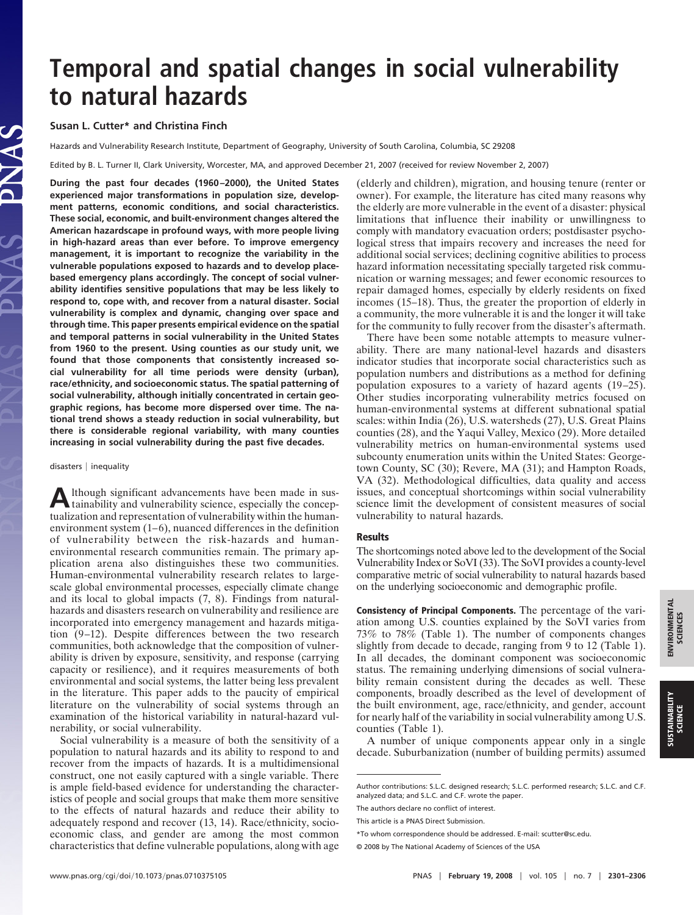# **Temporal and spatial changes in social vulnerability to natural hazards**

## **Susan L. Cutter\* and Christina Finch**

Hazards and Vulnerability Research Institute, Department of Geography, University of South Carolina, Columbia, SC 29208

Edited by B. L. Turner II, Clark University, Worcester, MA, and approved December 21, 2007 (received for review November 2, 2007)

**During the past four decades (1960–2000), the United States experienced major transformations in population size, development patterns, economic conditions, and social characteristics. These social, economic, and built-environment changes altered the American hazardscape in profound ways, with more people living in high-hazard areas than ever before. To improve emergency management, it is important to recognize the variability in the vulnerable populations exposed to hazards and to develop placebased emergency plans accordingly. The concept of social vulnerability identifies sensitive populations that may be less likely to respond to, cope with, and recover from a natural disaster. Social vulnerability is complex and dynamic, changing over space and through time. This paper presents empirical evidence on the spatial and temporal patterns in social vulnerability in the United States from 1960 to the present. Using counties as our study unit, we found that those components that consistently increased social vulnerability for all time periods were density (urban), race/ethnicity, and socioeconomic status. The spatial patterning of social vulnerability, although initially concentrated in certain geographic regions, has become more dispersed over time. The national trend shows a steady reduction in social vulnerability, but there is considerable regional variability, with many counties increasing in social vulnerability during the past five decades.**

#### $disasters$  | inequality

Although significant advancements have been made in sus-<br>tainability and vulnerability science, especially the conceptualization and representation of vulnerability within the humanenvironment system (1–6), nuanced differences in the definition of vulnerability between the risk-hazards and humanenvironmental research communities remain. The primary application arena also distinguishes these two communities. Human-environmental vulnerability research relates to largescale global environmental processes, especially climate change and its local to global impacts (7, 8). Findings from naturalhazards and disasters research on vulnerability and resilience are incorporated into emergency management and hazards mitigation (9–12). Despite differences between the two research communities, both acknowledge that the composition of vulnerability is driven by exposure, sensitivity, and response (carrying capacity or resilience), and it requires measurements of both environmental and social systems, the latter being less prevalent in the literature. This paper adds to the paucity of empirical literature on the vulnerability of social systems through an examination of the historical variability in natural-hazard vulnerability, or social vulnerability.

Social vulnerability is a measure of both the sensitivity of a population to natural hazards and its ability to respond to and recover from the impacts of hazards. It is a multidimensional construct, one not easily captured with a single variable. There is ample field-based evidence for understanding the characteristics of people and social groups that make them more sensitive to the effects of natural hazards and reduce their ability to adequately respond and recover (13, 14). Race/ethnicity, socioeconomic class, and gender are among the most common characteristics that define vulnerable populations, along with age (elderly and children), migration, and housing tenure (renter or owner). For example, the literature has cited many reasons why the elderly are more vulnerable in the event of a disaster: physical limitations that influence their inability or unwillingness to comply with mandatory evacuation orders; postdisaster psychological stress that impairs recovery and increases the need for additional social services; declining cognitive abilities to process hazard information necessitating specially targeted risk communication or warning messages; and fewer economic resources to repair damaged homes, especially by elderly residents on fixed incomes (15–18). Thus, the greater the proportion of elderly in a community, the more vulnerable it is and the longer it will take for the community to fully recover from the disaster's aftermath.

There have been some notable attempts to measure vulnerability. There are many national-level hazards and disasters indicator studies that incorporate social characteristics such as population numbers and distributions as a method for defining population exposures to a variety of hazard agents (19–25). Other studies incorporating vulnerability metrics focused on human-environmental systems at different subnational spatial scales: within India (26), U.S. watersheds (27), U.S. Great Plains counties (28), and the Yaqui Valley, Mexico (29). More detailed vulnerability metrics on human-environmental systems used subcounty enumeration units within the United States: Georgetown County, SC (30); Revere, MA (31); and Hampton Roads, VA (32). Methodological difficulties, data quality and access issues, and conceptual shortcomings within social vulnerability science limit the development of consistent measures of social vulnerability to natural hazards.

#### **Results**

The shortcomings noted above led to the development of the Social Vulnerability Index or SoVI (33). The SoVI provides a county-level comparative metric of social vulnerability to natural hazards based on the underlying socioeconomic and demographic profile.

**Consistency of Principal Components.** The percentage of the variation among U.S. counties explained by the SoVI varies from 73% to 78% (Table 1). The number of components changes slightly from decade to decade, ranging from 9 to 12 (Table 1). In all decades, the dominant component was socioeconomic status. The remaining underlying dimensions of social vulnerability remain consistent during the decades as well. These components, broadly described as the level of development of the built environment, age, race/ethnicity, and gender, account for nearly half of the variability in social vulnerability among U.S. counties (Table 1).

A number of unique components appear only in a single decade. Suburbanization (number of building permits) assumed

Author contributions: S.L.C. designed research; S.L.C. performed research; S.L.C. and C.F. analyzed data; and S.L.C. and C.F. wrote the paper.

The authors declare no conflict of interest.

This article is a PNAS Direct Submission.

<sup>\*</sup>To whom correspondence should be addressed. E-mail: scutter@sc.edu.

<sup>© 2008</sup> by The National Academy of Sciences of the USA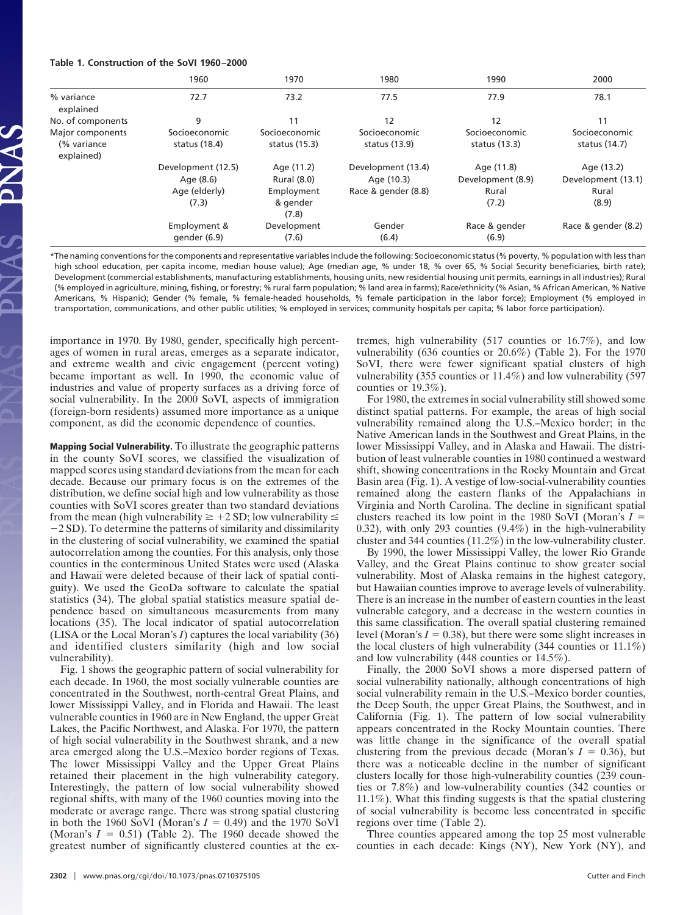#### **Table 1. Construction of the SoVI 1960–2000**

|                                                | 1960                                                      | 1970                                                         | 1980                                                    | 1990                                              | 2000                                               |
|------------------------------------------------|-----------------------------------------------------------|--------------------------------------------------------------|---------------------------------------------------------|---------------------------------------------------|----------------------------------------------------|
| % variance<br>explained                        | 72.7                                                      | 73.2                                                         | 77.5                                                    | 77.9                                              | 78.1                                               |
| No. of components                              | 9                                                         | 11                                                           | 12                                                      | 12                                                | 11                                                 |
| Major components<br>(% variance)<br>explained) | Socioeconomic<br>status (18.4)                            | Socioeconomic<br>status $(15.3)$                             | Socioeconomic<br>status (13.9)                          | Socioeconomic<br>status $(13.3)$                  | Socioeconomic<br>status (14.7)                     |
|                                                | Development (12.5)<br>Age (8.6)<br>Age (elderly)<br>(7.3) | Age (11.2)<br>Rural (8.0)<br>Employment<br>& gender<br>(7.8) | Development (13.4)<br>Age (10.3)<br>Race & gender (8.8) | Age (11.8)<br>Development (8.9)<br>Rural<br>(7.2) | Age (13.2)<br>Development (13.1)<br>Rural<br>(8.9) |
|                                                | Employment &<br>gender (6.9)                              | Development<br>(7.6)                                         | Gender<br>(6.4)                                         | Race & gender<br>(6.9)                            | Race & gender (8.2)                                |

\*The naming conventions for the components and representative variables include the following: Socioeconomic status (% poverty, % population with less than high school education, per capita income, median house value); Age (median age, % under 18, % over 65, % Social Security beneficiaries, birth rate); Development (commercial establishments, manufacturing establishments, housing units, new residential housing unit permits, earnings in all industries); Rural (% employed in agriculture, mining, fishing, or forestry; % rural farm population; % land area in farms); Race/ethnicity (% Asian, % African American, % Native Americans, % Hispanic); Gender (% female, % female-headed households, % female participation in the labor force); Employment (% employed in transportation, communications, and other public utilities; % employed in services; community hospitals per capita; % labor force participation).

importance in 1970. By 1980, gender, specifically high percentages of women in rural areas, emerges as a separate indicator, and extreme wealth and civic engagement (percent voting) became important as well. In 1990, the economic value of industries and value of property surfaces as a driving force of social vulnerability. In the 2000 SoVI, aspects of immigration (foreign-born residents) assumed more importance as a unique component, as did the economic dependence of counties.

**Mapping Social Vulnerability.** To illustrate the geographic patterns in the county SoVI scores, we classified the visualization of mapped scores using standard deviations from the mean for each decade. Because our primary focus is on the extremes of the distribution, we define social high and low vulnerability as those counties with SoVI scores greater than two standard deviations from the mean (high vulnerability  $\geq +2$  SD; low vulnerability  $\leq$ -2 SD). To determine the patterns of similarity and dissimilarity in the clustering of social vulnerability, we examined the spatial autocorrelation among the counties. For this analysis, only those counties in the conterminous United States were used (Alaska and Hawaii were deleted because of their lack of spatial contiguity). We used the GeoDa software to calculate the spatial statistics (34). The global spatial statistics measure spatial dependence based on simultaneous measurements from many locations (35). The local indicator of spatial autocorrelation (LISA or the Local Moran's *I*) captures the local variability (36) and identified clusters similarity (high and low social vulnerability).

Fig. 1 shows the geographic pattern of social vulnerability for each decade. In 1960, the most socially vulnerable counties are concentrated in the Southwest, north-central Great Plains, and lower Mississippi Valley, and in Florida and Hawaii. The least vulnerable counties in 1960 are in New England, the upper Great Lakes, the Pacific Northwest, and Alaska. For 1970, the pattern of high social vulnerability in the Southwest shrank, and a new area emerged along the U.S.–Mexico border regions of Texas. The lower Mississippi Valley and the Upper Great Plains retained their placement in the high vulnerability category. Interestingly, the pattern of low social vulnerability showed regional shifts, with many of the 1960 counties moving into the moderate or average range. There was strong spatial clustering in both the 1960 SoVI (Moran's  $I = 0.49$ ) and the 1970 SoVI (Moran's  $I = 0.51$ ) (Table 2). The 1960 decade showed the greatest number of significantly clustered counties at the extremes, high vulnerability (517 counties or 16.7%), and low vulnerability (636 counties or 20.6%) (Table 2). For the 1970 SoVI, there were fewer significant spatial clusters of high vulnerability (355 counties or 11.4%) and low vulnerability (597 counties or 19.3%).

For 1980, the extremes in social vulnerability still showed some distinct spatial patterns. For example, the areas of high social vulnerability remained along the U.S.–Mexico border; in the Native American lands in the Southwest and Great Plains, in the lower Mississippi Valley, and in Alaska and Hawaii. The distribution of least vulnerable counties in 1980 continued a westward shift, showing concentrations in the Rocky Mountain and Great Basin area (Fig. 1). A vestige of low-social-vulnerability counties remained along the eastern flanks of the Appalachians in Virginia and North Carolina. The decline in significant spatial clusters reached its low point in the 1980 SoVI (Moran's *I* 0.32), with only 293 counties (9.4%) in the high-vulnerability cluster and 344 counties (11.2%) in the low-vulnerability cluster.

By 1990, the lower Mississippi Valley, the lower Rio Grande Valley, and the Great Plains continue to show greater social vulnerability. Most of Alaska remains in the highest category, but Hawaiian counties improve to average levels of vulnerability. There is an increase in the number of eastern counties in the least vulnerable category, and a decrease in the western counties in this same classification. The overall spatial clustering remained level (Moran's  $I = 0.38$ ), but there were some slight increases in the local clusters of high vulnerability (344 counties or 11.1%) and low vulnerability (448 counties or 14.5%).

Finally, the 2000 SoVI shows a more dispersed pattern of social vulnerability nationally, although concentrations of high social vulnerability remain in the U.S.–Mexico border counties, the Deep South, the upper Great Plains, the Southwest, and in California (Fig. 1). The pattern of low social vulnerability appears concentrated in the Rocky Mountain counties. There was little change in the significance of the overall spatial clustering from the previous decade (Moran's  $I = 0.36$ ), but there was a noticeable decline in the number of significant clusters locally for those high-vulnerability counties (239 counties or 7.8%) and low-vulnerability counties (342 counties or 11.1%). What this finding suggests is that the spatial clustering of social vulnerability is become less concentrated in specific regions over time (Table 2).

Three counties appeared among the top 25 most vulnerable counties in each decade: Kings (NY), New York (NY), and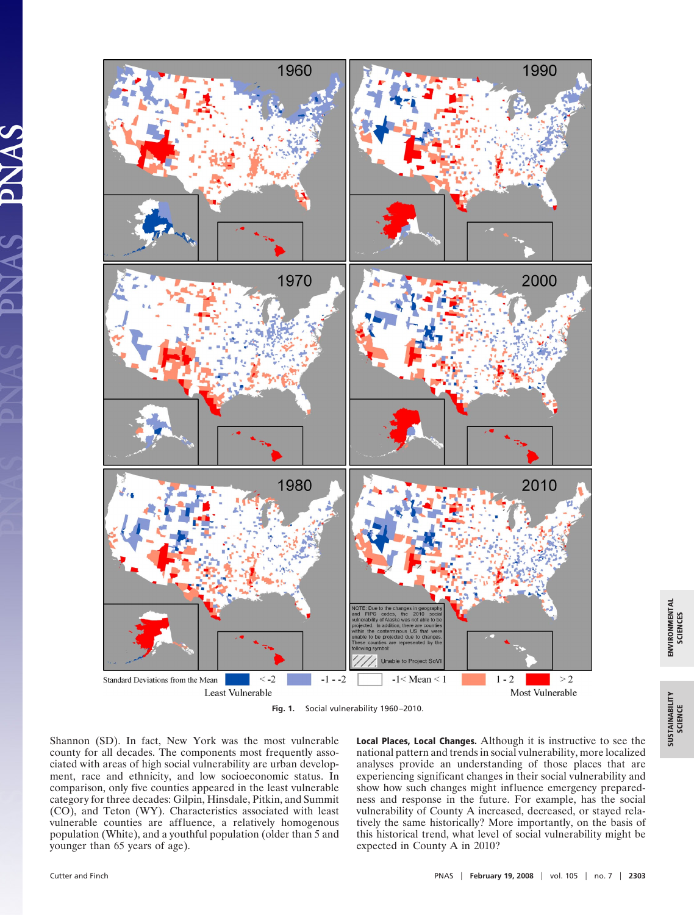



Shannon (SD). In fact, New York was the most vulnerable county for all decades. The components most frequently associated with areas of high social vulnerability are urban development, race and ethnicity, and low socioeconomic status. In comparison, only five counties appeared in the least vulnerable category for three decades: Gilpin, Hinsdale, Pitkin, and Summit (CO), and Teton (WY). Characteristics associated with least vulnerable counties are affluence, a relatively homogenous population (White), and a youthful population (older than 5 and younger than 65 years of age).

**Local Places, Local Changes.** Although it is instructive to see the national pattern and trends in social vulnerability, more localized analyses provide an understanding of those places that are experiencing significant changes in their social vulnerability and show how such changes might influence emergency preparedness and response in the future. For example, has the social vulnerability of County A increased, decreased, or stayed relatively the same historically? More importantly, on the basis of this historical trend, what level of social vulnerability might be expected in County A in 2010?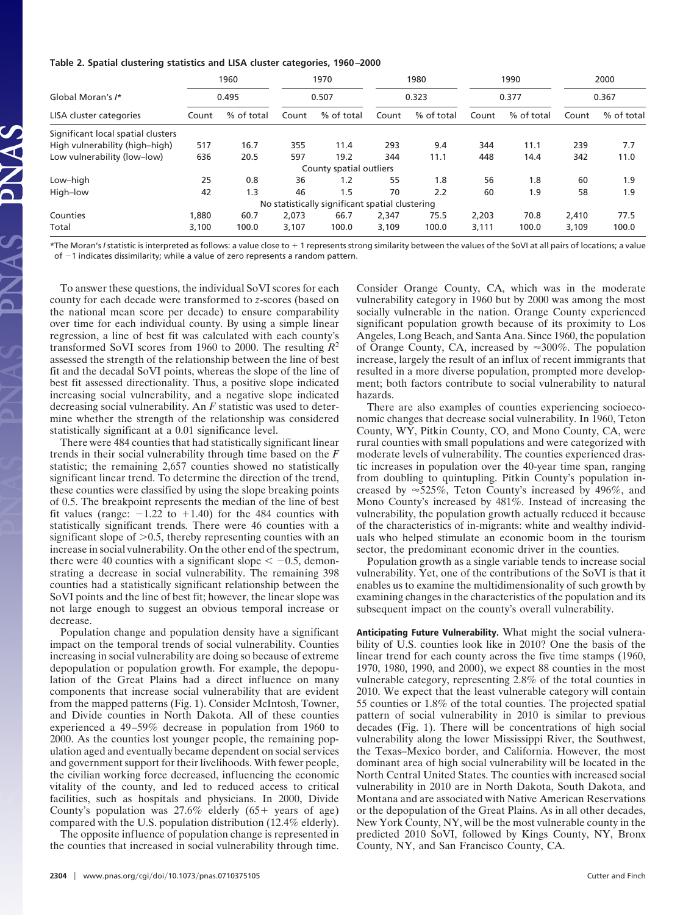#### **Table 2. Spatial clustering statistics and LISA cluster categories, 1960–2000**

|                                    | 1960<br>0.495 |            | 1970<br>0.507 |                                                 | 1980<br>0.323 |            | 1990<br>0.377 |            | 2000<br>0.367 |            |
|------------------------------------|---------------|------------|---------------|-------------------------------------------------|---------------|------------|---------------|------------|---------------|------------|
| Global Moran's /*                  |               |            |               |                                                 |               |            |               |            |               |            |
| LISA cluster categories            | Count         | % of total | Count         | % of total                                      | Count         | % of total | Count         | % of total | Count         | % of total |
| Significant local spatial clusters |               |            |               |                                                 |               |            |               |            |               |            |
| High vulnerability (high-high)     | 517           | 16.7       | 355           | 11.4                                            | 293           | 9.4        | 344           | 11.1       | 239           | 7.7        |
| Low vulnerability (low-low)        | 636           | 20.5       | 597           | 19.2                                            | 344           | 11.1       | 448           | 14.4       | 342           | 11.0       |
|                                    |               |            |               | County spatial outliers                         |               |            |               |            |               |            |
| Low-high                           | 25            | 0.8        | 36            | 1.2                                             | 55            | 1.8        | 56            | 1.8        | 60            | 1.9        |
| High-low                           | 42            | 1.3        | 46            | 1.5                                             | 70            | 2.2        | 60            | 1.9        | 58            | 1.9        |
|                                    |               |            |               | No statistically significant spatial clustering |               |            |               |            |               |            |
| Counties                           | 1,880         | 60.7       | 2,073         | 66.7                                            | 2,347         | 75.5       | 2,203         | 70.8       | 2.410         | 77.5       |
| Total                              | 3,100         | 100.0      | 3.107         | 100.0                                           | 3.109         | 100.0      | 3,111         | 100.0      | 3.109         | 100.0      |

\*The Moran's *I* statistic is interpreted as follows: a value close to 1 represents strong similarity between the values of the SoVI at all pairs of locations; a value of -1 indicates dissimilarity; while a value of zero represents a random pattern.

To answer these questions, the individual SoVI scores for each county for each decade were transformed to *z*-scores (based on the national mean score per decade) to ensure comparability over time for each individual county. By using a simple linear regression, a line of best fit was calculated with each county's transformed SoVI scores from 1960 to 2000. The resulting *R*<sup>2</sup> assessed the strength of the relationship between the line of best fit and the decadal SoVI points, whereas the slope of the line of best fit assessed directionality. Thus, a positive slope indicated increasing social vulnerability, and a negative slope indicated decreasing social vulnerability. An *F* statistic was used to determine whether the strength of the relationship was considered statistically significant at a 0.01 significance level.

There were 484 counties that had statistically significant linear trends in their social vulnerability through time based on the *F* statistic; the remaining 2,657 counties showed no statistically significant linear trend. To determine the direction of the trend, these counties were classified by using the slope breaking points of 0.5. The breakpoint represents the median of the line of best fit values (range:  $-1.22$  to  $+1.40$ ) for the 484 counties with statistically significant trends. There were 46 counties with a significant slope of  $>0.5$ , thereby representing counties with an increase in social vulnerability. On the other end of the spectrum, there were 40 counties with a significant slope  $\lt$  -0.5, demonstrating a decrease in social vulnerability. The remaining 398 counties had a statistically significant relationship between the SoVI points and the line of best fit; however, the linear slope was not large enough to suggest an obvious temporal increase or decrease.

Population change and population density have a significant impact on the temporal trends of social vulnerability. Counties increasing in social vulnerability are doing so because of extreme depopulation or population growth. For example, the depopulation of the Great Plains had a direct influence on many components that increase social vulnerability that are evident from the mapped patterns (Fig. 1). Consider McIntosh, Towner, and Divide counties in North Dakota. All of these counties experienced a 49–59% decrease in population from 1960 to 2000. As the counties lost younger people, the remaining population aged and eventually became dependent on social services and government support for their livelihoods. With fewer people, the civilian working force decreased, influencing the economic vitality of the county, and led to reduced access to critical facilities, such as hospitals and physicians. In 2000, Divide County's population was  $27.6\%$  elderly  $(65+)$  years of age) compared with the U.S. population distribution (12.4% elderly).

The opposite influence of population change is represented in the counties that increased in social vulnerability through time. Consider Orange County, CA, which was in the moderate vulnerability category in 1960 but by 2000 was among the most socially vulnerable in the nation. Orange County experienced significant population growth because of its proximity to Los Angeles, Long Beach, and Santa Ana. Since 1960, the population of Orange County, CA, increased by  $\approx 300\%$ . The population increase, largely the result of an influx of recent immigrants that resulted in a more diverse population, prompted more development; both factors contribute to social vulnerability to natural hazards.

There are also examples of counties experiencing socioeconomic changes that decrease social vulnerability. In 1960, Teton County, WY, Pitkin County, CO, and Mono County, CA, were rural counties with small populations and were categorized with moderate levels of vulnerability. The counties experienced drastic increases in population over the 40-year time span, ranging from doubling to quintupling. Pitkin County's population increased by  $\approx$  525%, Teton County's increased by 496%, and Mono County's increased by 481%. Instead of increasing the vulnerability, the population growth actually reduced it because of the characteristics of in-migrants: white and wealthy individuals who helped stimulate an economic boom in the tourism sector, the predominant economic driver in the counties.

Population growth as a single variable tends to increase social vulnerability. Yet, one of the contributions of the SoVI is that it enables us to examine the multidimensionality of such growth by examining changes in the characteristics of the population and its subsequent impact on the county's overall vulnerability.

**Anticipating Future Vulnerability.** What might the social vulnerability of U.S. counties look like in 2010? One the basis of the linear trend for each county across the five time stamps (1960, 1970, 1980, 1990, and 2000), we expect 88 counties in the most vulnerable category, representing 2.8% of the total counties in 2010. We expect that the least vulnerable category will contain 55 counties or 1.8% of the total counties. The projected spatial pattern of social vulnerability in 2010 is similar to previous decades (Fig. 1). There will be concentrations of high social vulnerability along the lower Mississippi River, the Southwest, the Texas–Mexico border, and California. However, the most dominant area of high social vulnerability will be located in the North Central United States. The counties with increased social vulnerability in 2010 are in North Dakota, South Dakota, and Montana and are associated with Native American Reservations or the depopulation of the Great Plains. As in all other decades, New York County, NY, will be the most vulnerable county in the predicted 2010 SoVI, followed by Kings County, NY, Bronx County, NY, and San Francisco County, CA.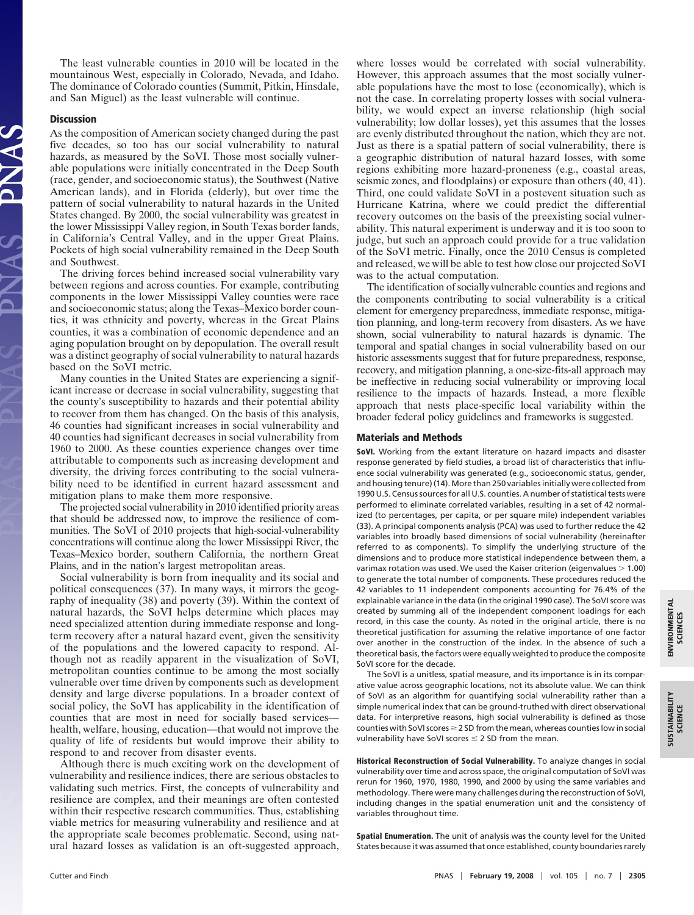The least vulnerable counties in 2010 will be located in the mountainous West, especially in Colorado, Nevada, and Idaho. The dominance of Colorado counties (Summit, Pitkin, Hinsdale, and San Miguel) as the least vulnerable will continue.

### **Discussion**

As the composition of American society changed during the past five decades, so too has our social vulnerability to natural hazards, as measured by the SoVI. Those most socially vulnerable populations were initially concentrated in the Deep South (race, gender, and socioeconomic status), the Southwest (Native American lands), and in Florida (elderly), but over time the pattern of social vulnerability to natural hazards in the United States changed. By 2000, the social vulnerability was greatest in the lower Mississippi Valley region, in South Texas border lands, in California's Central Valley, and in the upper Great Plains. Pockets of high social vulnerability remained in the Deep South and Southwest.

The driving forces behind increased social vulnerability vary between regions and across counties. For example, contributing components in the lower Mississippi Valley counties were race and socioeconomic status; along the Texas–Mexico border counties, it was ethnicity and poverty, whereas in the Great Plains counties, it was a combination of economic dependence and an aging population brought on by depopulation. The overall result was a distinct geography of social vulnerability to natural hazards based on the SoVI metric.

Many counties in the United States are experiencing a significant increase or decrease in social vulnerability, suggesting that the county's susceptibility to hazards and their potential ability to recover from them has changed. On the basis of this analysis, 46 counties had significant increases in social vulnerability and 40 counties had significant decreases in social vulnerability from 1960 to 2000. As these counties experience changes over time attributable to components such as increasing development and diversity, the driving forces contributing to the social vulnerability need to be identified in current hazard assessment and mitigation plans to make them more responsive.

The projected social vulnerability in 2010 identified priority areas that should be addressed now, to improve the resilience of communities. The SoVI of 2010 projects that high-social-vulnerability concentrations will continue along the lower Mississippi River, the Texas–Mexico border, southern California, the northern Great Plains, and in the nation's largest metropolitan areas.

Social vulnerability is born from inequality and its social and political consequences (37). In many ways, it mirrors the geography of inequality (38) and poverty (39). Within the context of natural hazards, the SoVI helps determine which places may need specialized attention during immediate response and longterm recovery after a natural hazard event, given the sensitivity of the populations and the lowered capacity to respond. Although not as readily apparent in the visualization of SoVI, metropolitan counties continue to be among the most socially vulnerable over time driven by components such as development density and large diverse populations. In a broader context of social policy, the SoVI has applicability in the identification of counties that are most in need for socially based services health, welfare, housing, education—that would not improve the quality of life of residents but would improve their ability to respond to and recover from disaster events.

Although there is much exciting work on the development of vulnerability and resilience indices, there are serious obstacles to validating such metrics. First, the concepts of vulnerability and resilience are complex, and their meanings are often contested within their respective research communities. Thus, establishing viable metrics for measuring vulnerability and resilience and at the appropriate scale becomes problematic. Second, using natural hazard losses as validation is an oft-suggested approach,

where losses would be correlated with social vulnerability. However, this approach assumes that the most socially vulnerable populations have the most to lose (economically), which is not the case. In correlating property losses with social vulnerability, we would expect an inverse relationship (high social vulnerability; low dollar losses), yet this assumes that the losses are evenly distributed throughout the nation, which they are not. Just as there is a spatial pattern of social vulnerability, there is a geographic distribution of natural hazard losses, with some regions exhibiting more hazard-proneness (e.g., coastal areas, seismic zones, and floodplains) or exposure than others (40, 41). Third, one could validate SoVI in a postevent situation such as Hurricane Katrina, where we could predict the differential recovery outcomes on the basis of the preexisting social vulnerability. This natural experiment is underway and it is too soon to judge, but such an approach could provide for a true validation of the SoVI metric. Finally, once the 2010 Census is completed and released, we will be able to test how close our projected SoVI was to the actual computation.

The identification of socially vulnerable counties and regions and the components contributing to social vulnerability is a critical element for emergency preparedness, immediate response, mitigation planning, and long-term recovery from disasters. As we have shown, social vulnerability to natural hazards is dynamic. The temporal and spatial changes in social vulnerability based on our historic assessments suggest that for future preparedness, response, recovery, and mitigation planning, a one-size-fits-all approach may be ineffective in reducing social vulnerability or improving local resilience to the impacts of hazards. Instead, a more flexible approach that nests place-specific local variability within the broader federal policy guidelines and frameworks is suggested.

#### **Materials and Methods**

**SoVI.** Working from the extant literature on hazard impacts and disaster response generated by field studies, a broad list of characteristics that influence social vulnerability was generated (e.g., socioeconomic status, gender, and housing tenure) (14). More than 250 variables initially were collected from 1990 U.S. Census sources for all U.S. counties. A number of statistical tests were performed to eliminate correlated variables, resulting in a set of 42 normalized (to percentages, per capita, or per square mile) independent variables (33). A principal components analysis (PCA) was used to further reduce the 42 variables into broadly based dimensions of social vulnerability (hereinafter referred to as components). To simplify the underlying structure of the dimensions and to produce more statistical independence between them, a varimax rotation was used. We used the Kaiser criterion (eigenvalues  $> 1.00$ ) to generate the total number of components. These procedures reduced the 42 variables to 11 independent components accounting for 76.4% of the explainable variance in the data (in the original 1990 case). The SoVI score was created by summing all of the independent component loadings for each record, in this case the county. As noted in the original article, there is no theoretical justification for assuming the relative importance of one factor over another in the construction of the index. In the absence of such a theoretical basis, the factors were equally weighted to produce the composite SoVI score for the decade.

The SoVI is a unitless, spatial measure, and its importance is in its comparative value across geographic locations, not its absolute value. We can think of SoVI as an algorithm for quantifying social vulnerability rather than a simple numerical index that can be ground-truthed with direct observational data. For interpretive reasons, high social vulnerability is defined as those counties with SoVI scores  $\geq$  2 SD from the mean, whereas counties low in social vulnerability have SoVI scores  $\leq$  2 SD from the mean.

**Historical Reconstruction of Social Vulnerability.** To analyze changes in social vulnerability over time and across space, the original computation of SoVI was rerun for 1960, 1970, 1980, 1990, and 2000 by using the same variables and methodology. There were many challenges during the reconstruction of SoVI, including changes in the spatial enumeration unit and the consistency of variables throughout time.

**Spatial Enumeration.** The unit of analysis was the county level for the United States because it was assumed that once established, county boundaries rarely